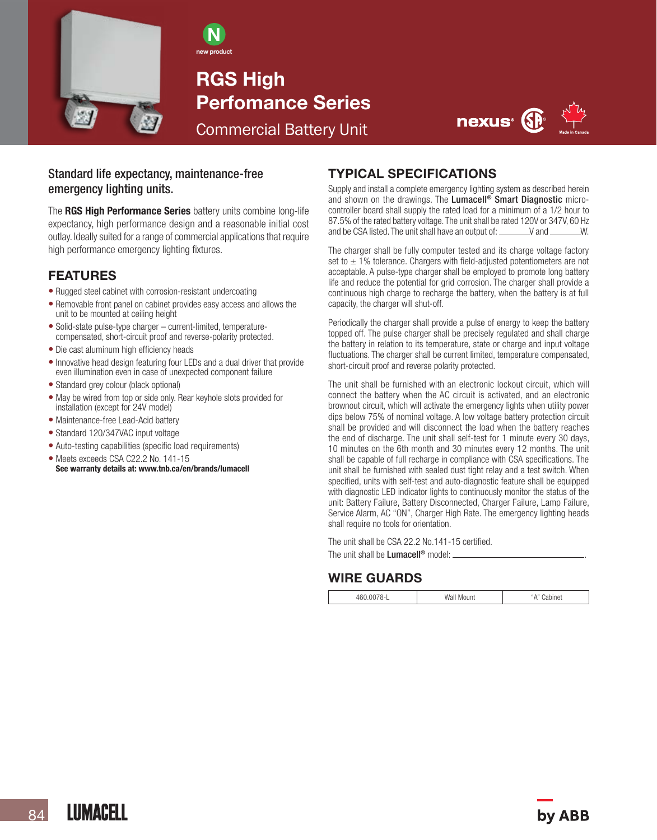

N new product

RGS High Perfomance Series Commercial Battery Unit



### Standard life expectancy, maintenance-free emergency lighting units.

The RGS High Performance Series battery units combine long-life expectancy, high performance design and a reasonable initial cost outlay. Ideally suited for a range of commercial applications that require high performance emergency lighting fixtures.

### FEATURES

- Rugged steel cabinet with corrosion-resistant undercoating
- Removable front panel on cabinet provides easy access and allows the unit to be mounted at ceiling height
- Solid-state pulse-type charger current-limited, temperaturecompensated, short-circuit proof and reverse-polarity protected.
- Die cast aluminum high efficiency heads
- Innovative head design featuring four LEDs and a dual driver that provide even illumination even in case of unexpected component failure
- Standard grey colour (black optional)
- May be wired from top or side only. Rear keyhole slots provided for installation (except for 24V model)
- Maintenance-free Lead-Acid battery
- Standard 120/347VAC input voltage
- Auto-testing capabilities (specific load requirements)
- Meets exceeds CSA C22.2 No. 141-15 See warranty details at: www.tnb.ca/en/brands/lumacell

# TYPICAL SPECIFICATIONS

Supply and install a complete emergency lighting system as described herein and shown on the drawings. The Lumacell® Smart Diagnostic microcontroller board shall supply the rated load for a minimum of a 1/2 hour to 87.5% of the rated battery voltage. The unit shall be rated 120V or 347V, 60 Hz and be CSA listed. The unit shall have an output of: We and W.

The charger shall be fully computer tested and its charge voltage factory set to  $\pm$  1% tolerance. Chargers with field-adjusted potentiometers are not acceptable. A pulse-type charger shall be employed to promote long battery life and reduce the potential for grid corrosion. The charger shall provide a continuous high charge to recharge the battery, when the battery is at full capacity, the charger will shut-off.

Periodically the charger shall provide a pulse of energy to keep the battery topped off. The pulse charger shall be precisely regulated and shall charge the battery in relation to its temperature, state or charge and input voltage fluctuations. The charger shall be current limited, temperature compensated, short-circuit proof and reverse polarity protected.

The unit shall be furnished with an electronic lockout circuit, which will connect the battery when the AC circuit is activated, and an electronic brownout circuit, which will activate the emergency lights when utility power dips below 75% of nominal voltage. A low voltage battery protection circuit shall be provided and will disconnect the load when the battery reaches the end of discharge. The unit shall self-test for 1 minute every 30 days, 10 minutes on the 6th month and 30 minutes every 12 months. The unit shall be capable of full recharge in compliance with CSA specifications. The unit shall be furnished with sealed dust tight relay and a test switch. When specified, units with self-test and auto-diagnostic feature shall be equipped with diagnostic LED indicator lights to continuously monitor the status of the unit: Battery Failure, Battery Disconnected, Charger Failure, Lamp Failure, Service Alarm, AC "ON", Charger High Rate. The emergency lighting heads shall require no tools for orientation.

The unit shall be CSA 22.2 No.141-15 certified. The unit shall be **Lumacell<sup>®</sup>** model:

## WIRE GUARDS

| . | w<br>')uni<br><b>IVI</b> |  |
|---|--------------------------|--|
|   |                          |  |